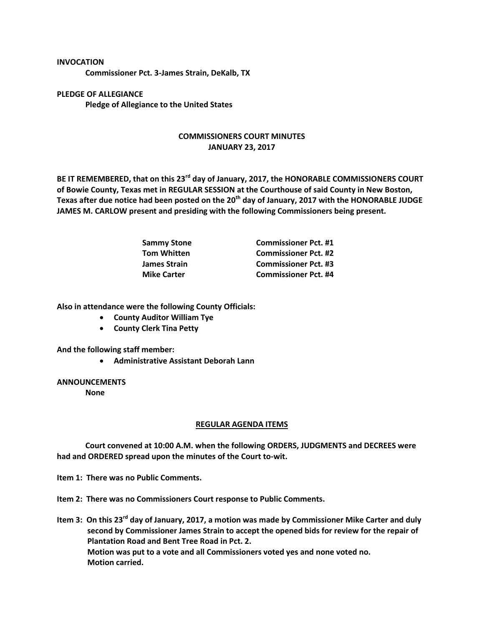## **INVOCATION**

**Commissioner Pct. 3-James Strain, DeKalb, TX**

**PLEDGE OF ALLEGIANCE Pledge of Allegiance to the United States**

## **COMMISSIONERS COURT MINUTES JANUARY 23, 2017**

**BE IT REMEMBERED, that on this 23rd day of January, 2017, the HONORABLE COMMISSIONERS COURT of Bowie County, Texas met in REGULAR SESSION at the Courthouse of said County in New Boston, Texas after due notice had been posted on the 20th day of January, 2017 with the HONORABLE JUDGE JAMES M. CARLOW present and presiding with the following Commissioners being present.**

| <b>Sammy Stone</b>  | <b>Commissioner Pct. #1</b> |
|---------------------|-----------------------------|
| <b>Tom Whitten</b>  | <b>Commissioner Pct. #2</b> |
| <b>James Strain</b> | <b>Commissioner Pct. #3</b> |
| <b>Mike Carter</b>  | <b>Commissioner Pct. #4</b> |

**Also in attendance were the following County Officials:**

- **County Auditor William Tye**
- **County Clerk Tina Petty**

**And the following staff member:**

**Administrative Assistant Deborah Lann**

## **ANNOUNCEMENTS**

**None**

## **REGULAR AGENDA ITEMS**

**Court convened at 10:00 A.M. when the following ORDERS, JUDGMENTS and DECREES were had and ORDERED spread upon the minutes of the Court to-wit.**

**Item 1: There was no Public Comments.**

**Item 2: There was no Commissioners Court response to Public Comments.**

**Item 3: On this 23rd day of January, 2017, a motion was made by Commissioner Mike Carter and duly second by Commissioner James Strain to accept the opened bids for review for the repair of Plantation Road and Bent Tree Road in Pct. 2. Motion was put to a vote and all Commissioners voted yes and none voted no. Motion carried.**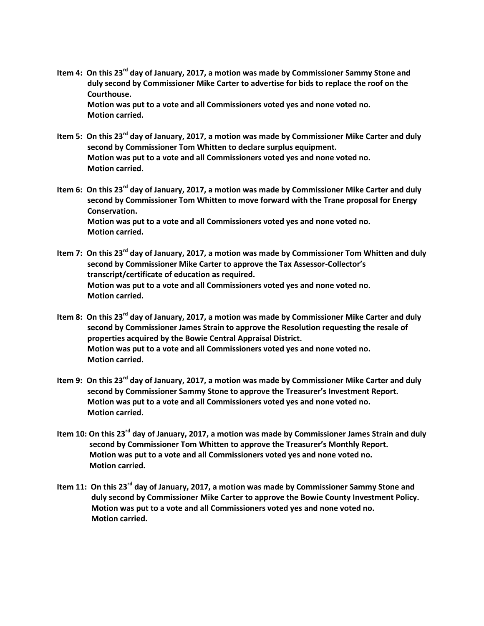**Item 4: On this 23rd day of January, 2017, a motion was made by Commissioner Sammy Stone and duly second by Commissioner Mike Carter to advertise for bids to replace the roof on the Courthouse.**

**Motion was put to a vote and all Commissioners voted yes and none voted no. Motion carried.**

- **Item 5: On this 23rd day of January, 2017, a motion was made by Commissioner Mike Carter and duly second by Commissioner Tom Whitten to declare surplus equipment. Motion was put to a vote and all Commissioners voted yes and none voted no. Motion carried.**
- **Item 6: On this 23rd day of January, 2017, a motion was made by Commissioner Mike Carter and duly second by Commissioner Tom Whitten to move forward with the Trane proposal for Energy Conservation. Motion was put to a vote and all Commissioners voted yes and none voted no. Motion carried.**
- **Item 7: On this 23rd day of January, 2017, a motion was made by Commissioner Tom Whitten and duly second by Commissioner Mike Carter to approve the Tax Assessor-Collector's transcript/certificate of education as required. Motion was put to a vote and all Commissioners voted yes and none voted no. Motion carried.**
- **Item 8: On this 23rd day of January, 2017, a motion was made by Commissioner Mike Carter and duly second by Commissioner James Strain to approve the Resolution requesting the resale of properties acquired by the Bowie Central Appraisal District. Motion was put to a vote and all Commissioners voted yes and none voted no. Motion carried.**
- **Item 9: On this 23rd day of January, 2017, a motion was made by Commissioner Mike Carter and duly second by Commissioner Sammy Stone to approve the Treasurer's Investment Report. Motion was put to a vote and all Commissioners voted yes and none voted no. Motion carried.**
- **Item 10: On this 23rd day of January, 2017, a motion was made by Commissioner James Strain and duly second by Commissioner Tom Whitten to approve the Treasurer's Monthly Report. Motion was put to a vote and all Commissioners voted yes and none voted no. Motion carried.**
- **Item 11: On this 23rd day of January, 2017, a motion was made by Commissioner Sammy Stone and duly second by Commissioner Mike Carter to approve the Bowie County Investment Policy. Motion was put to a vote and all Commissioners voted yes and none voted no. Motion carried.**